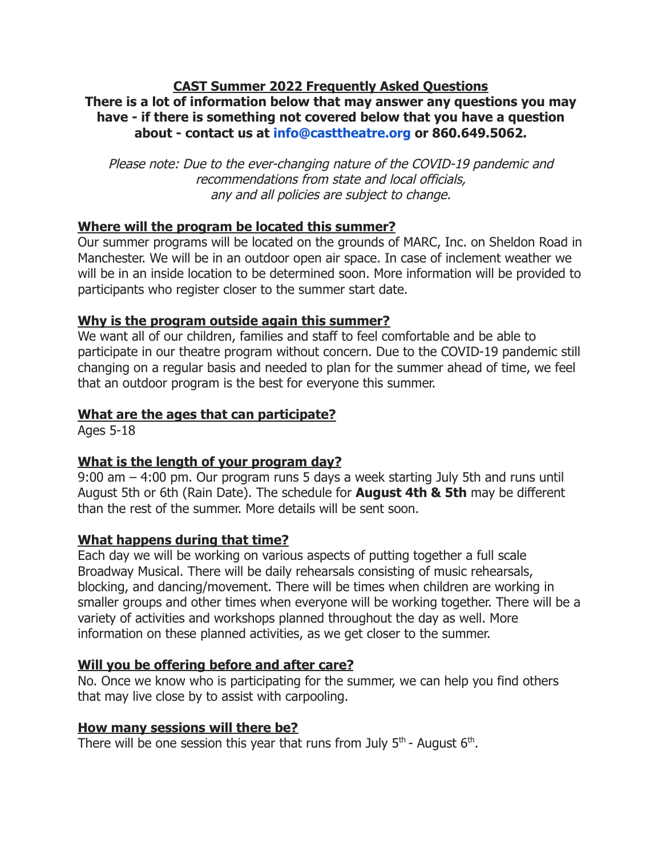#### **CAST Summer 2022 Frequently Asked Questions There is a lot of information below that may answer any questions you may have - if there is something not covered below that you have a question about - contact us at [info@casttheatre.org](mailto:info@casttheatre.org) or 860.649.5062.**

Please note: Due to the ever-changing nature of the COVID-19 pandemic and recommendations from state and local officials, any and all policies are subject to change.

## **Where will the program be located this summer?**

Our summer programs will be located on the grounds of MARC, Inc. on Sheldon Road in Manchester. We will be in an outdoor open air space. In case of inclement weather we will be in an inside location to be determined soon. More information will be provided to participants who register closer to the summer start date.

### **Why is the program outside again this summer?**

We want all of our children, families and staff to feel comfortable and be able to participate in our theatre program without concern. Due to the COVID-19 pandemic still changing on a regular basis and needed to plan for the summer ahead of time, we feel that an outdoor program is the best for everyone this summer.

## **What are the ages that can participate?**

Ages 5-18

# **What is the length of your program day?**

9:00 am – 4:00 pm. Our program runs 5 days a week starting July 5th and runs until August 5th or 6th (Rain Date). The schedule for **August 4th & 5th** may be different than the rest of the summer. More details will be sent soon.

# **What happens during that time?**

Each day we will be working on various aspects of putting together a full scale Broadway Musical. There will be daily rehearsals consisting of music rehearsals, blocking, and dancing/movement. There will be times when children are working in smaller groups and other times when everyone will be working together. There will be a variety of activities and workshops planned throughout the day as well. More information on these planned activities, as we get closer to the summer.

# **Will you be offering before and after care?**

No. Once we know who is participating for the summer, we can help you find others that may live close by to assist with carpooling.

### **How many sessions will there be?**

There will be one session this year that runs from July  $5<sup>th</sup>$ - August 6<sup>th</sup>.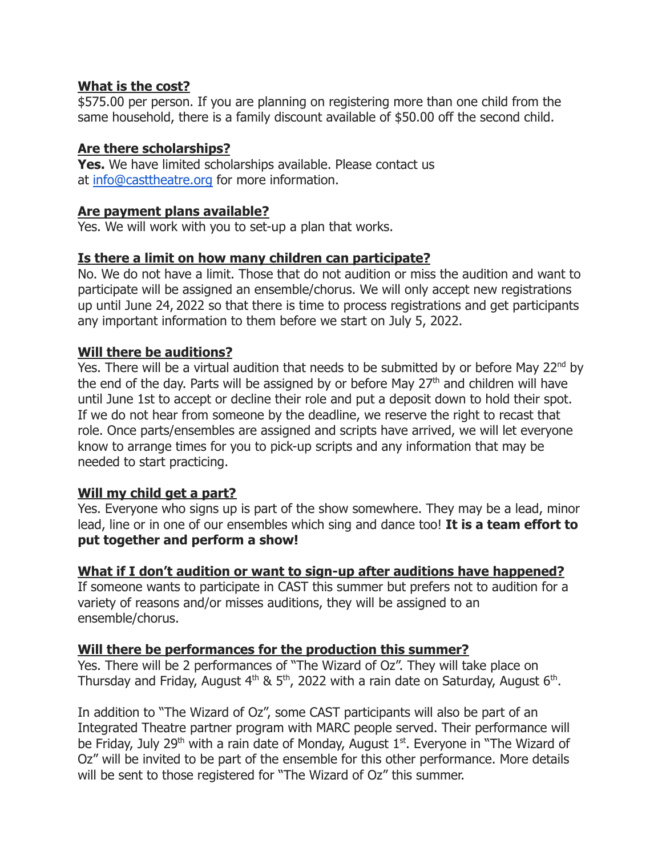#### **What is the cost?**

\$575.00 per person. If you are planning on registering more than one child from the same household, there is a family discount available of \$50.00 off the second child.

### **Are there scholarships?**

**Yes.** We have limited scholarships available. Please contact us at [info@casttheatre.org](mailto:info@casttheatre.org) for more information.

#### **Are payment plans available?**

Yes. We will work with you to set-up a plan that works.

### **Is there a limit on how many children can participate?**

No. We do not have a limit. Those that do not audition or miss the audition and want to participate will be assigned an ensemble/chorus. We will only accept new registrations up until June 24, 2022 so that there is time to process registrations and get participants any important information to them before we start on July 5, 2022.

### **Will there be auditions?**

Yes. There will be a virtual audition that needs to be submitted by or before May  $22^{nd}$  by the end of the day. Parts will be assigned by or before May  $27<sup>th</sup>$  and children will have until June 1st to accept or decline their role and put a deposit down to hold their spot. If we do not hear from someone by the deadline, we reserve the right to recast that role. Once parts/ensembles are assigned and scripts have arrived, we will let everyone know to arrange times for you to pick-up scripts and any information that may be needed to start practicing.

### **Will my child get a part?**

Yes. Everyone who signs up is part of the show somewhere. They may be a lead, minor lead, line or in one of our ensembles which sing and dance too! **It is a team effort to put together and perform a show!**

### **What if I don't audition or want to sign-up after auditions have happened?**

If someone wants to participate in CAST this summer but prefers not to audition for a variety of reasons and/or misses auditions, they will be assigned to an ensemble/chorus.

#### **Will there be performances for the production this summer?**

Yes. There will be 2 performances of "The Wizard of Oz". They will take place on Thursday and Friday, August  $4<sup>th</sup>$  & 5<sup>th</sup>, 2022 with a rain date on Saturday, August 6<sup>th</sup>.

In addition to "The Wizard of Oz", some CAST participants will also be part of an Integrated Theatre partner program with MARC people served. Their performance will be Friday, July 29<sup>th</sup> with a rain date of Monday, August 1<sup>st</sup>. Everyone in "The Wizard of Oz" will be invited to be part of the ensemble for this other performance. More details will be sent to those registered for "The Wizard of Oz" this summer.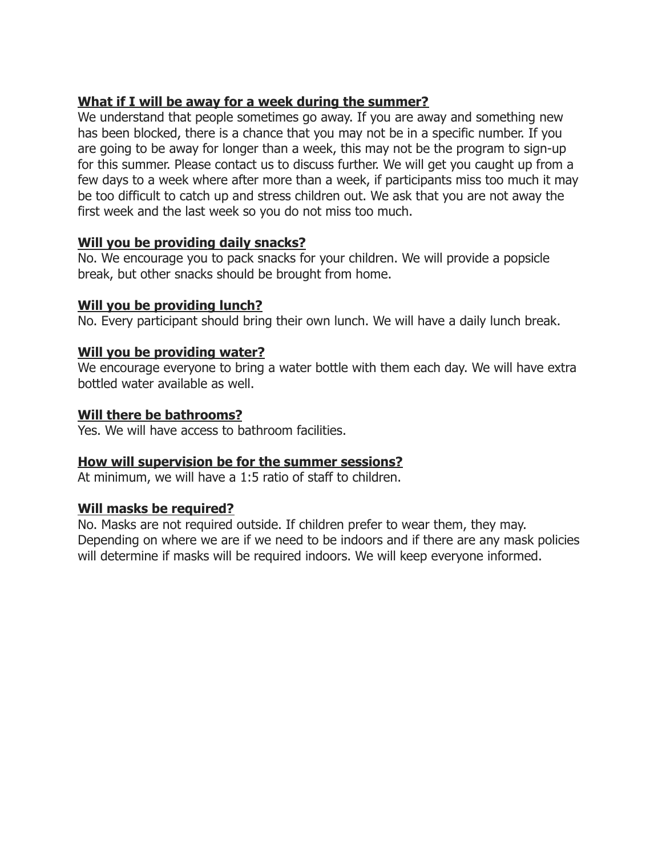# **What if I will be away for a week during the summer?**

We understand that people sometimes go away. If you are away and something new has been blocked, there is a chance that you may not be in a specific number. If you are going to be away for longer than a week, this may not be the program to sign-up for this summer. Please contact us to discuss further. We will get you caught up from a few days to a week where after more than a week, if participants miss too much it may be too difficult to catch up and stress children out. We ask that you are not away the first week and the last week so you do not miss too much.

### **Will you be providing daily snacks?**

No. We encourage you to pack snacks for your children. We will provide a popsicle break, but other snacks should be brought from home.

#### **Will you be providing lunch?**

No. Every participant should bring their own lunch. We will have a daily lunch break.

### **Will you be providing water?**

We encourage everyone to bring a water bottle with them each day. We will have extra bottled water available as well.

#### **Will there be bathrooms?**

Yes. We will have access to bathroom facilities.

### **How will supervision be for the summer sessions?**

At minimum, we will have a 1:5 ratio of staff to children.

### **Will masks be required?**

No. Masks are not required outside. If children prefer to wear them, they may. Depending on where we are if we need to be indoors and if there are any mask policies will determine if masks will be required indoors. We will keep everyone informed.